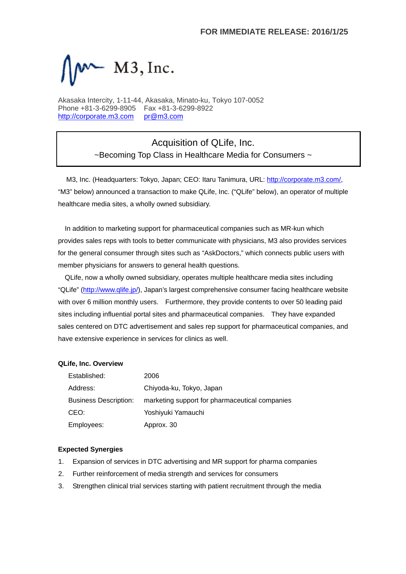

Akasaka Intercity, 1-11-44, Akasaka, Minato-ku, Tokyo 107-0052 Phone +81-3-6299-8905 Fax +81-3-6299-8922 http://corporate.m3.com pr@m3.com

> Acquisition of QLife, Inc. ~Becoming Top Class in Healthcare Media for Consumers ~

M3, Inc. (Headquarters: Tokyo, Japan; CEO: Itaru Tanimura, URL: http://corporate.m3.com/, "M3" below) announced a transaction to make QLife, Inc. ("QLife" below), an operator of multiple healthcare media sites, a wholly owned subsidiary.

In addition to marketing support for pharmaceutical companies such as MR-kun which provides sales reps with tools to better communicate with physicians, M3 also provides services for the general consumer through sites such as "AskDoctors," which connects public users with member physicians for answers to general health questions.

QLife, now a wholly owned subsidiary, operates multiple healthcare media sites including "QLife" (http://www.qlife.jp/), Japan's largest comprehensive consumer facing healthcare website with over 6 million monthly users. Furthermore, they provide contents to over 50 leading paid sites including influential portal sites and pharmaceutical companies. They have expanded sales centered on DTC advertisement and sales rep support for pharmaceutical companies, and have extensive experience in services for clinics as well.

## **QLife, Inc. Overview**

| Established:                 | 2006                                           |  |
|------------------------------|------------------------------------------------|--|
| Address:                     | Chiyoda-ku, Tokyo, Japan                       |  |
| <b>Business Description:</b> | marketing support for pharmaceutical companies |  |
| CEO:                         | Yoshiyuki Yamauchi                             |  |
| Employees:                   | Approx. 30                                     |  |

## **Expected Synergies**

- 1. Expansion of services in DTC advertising and MR support for pharma companies
- 2. Further reinforcement of media strength and services for consumers
- 3. Strengthen clinical trial services starting with patient recruitment through the media